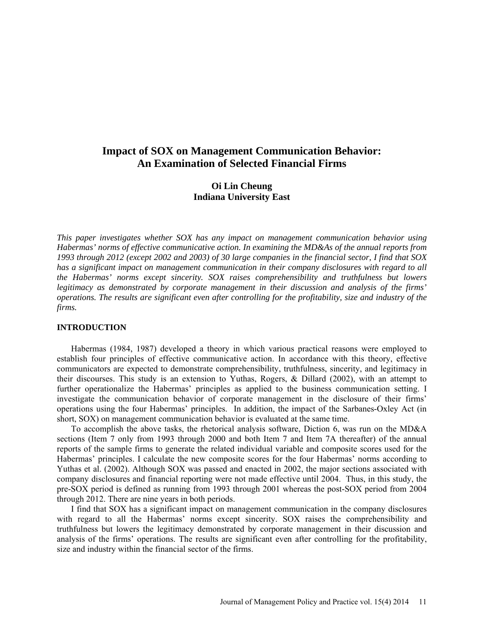# **Impact of SOX on Management Communication Behavior: An Examination of Selected Financial Firms**

## **Oi Lin Cheung Indiana University East**

*This paper investigates whether SOX has any impact on management communication behavior using Habermas' norms of effective communicative action. In examining the MD&As of the annual reports from 1993 through 2012 (except 2002 and 2003) of 30 large companies in the financial sector, I find that SOX has a significant impact on management communication in their company disclosures with regard to all the Habermas' norms except sincerity. SOX raises comprehensibility and truthfulness but lowers legitimacy as demonstrated by corporate management in their discussion and analysis of the firms' operations. The results are significant even after controlling for the profitability, size and industry of the firms.*

### **INTRODUCTION**

Habermas (1984, 1987) developed a theory in which various practical reasons were employed to establish four principles of effective communicative action. In accordance with this theory, effective communicators are expected to demonstrate comprehensibility, truthfulness, sincerity, and legitimacy in their discourses. This study is an extension to Yuthas, Rogers, & Dillard (2002), with an attempt to further operationalize the Habermas' principles as applied to the business communication setting. I investigate the communication behavior of corporate management in the disclosure of their firms' operations using the four Habermas' principles. In addition, the impact of the Sarbanes-Oxley Act (in short, SOX) on management communication behavior is evaluated at the same time.

To accomplish the above tasks, the rhetorical analysis software, Diction 6, was run on the MD&A sections (Item 7 only from 1993 through 2000 and both Item 7 and Item 7A thereafter) of the annual reports of the sample firms to generate the related individual variable and composite scores used for the Habermas' principles. I calculate the new composite scores for the four Habermas' norms according to Yuthas et al. (2002). Although SOX was passed and enacted in 2002, the major sections associated with company disclosures and financial reporting were not made effective until 2004. Thus, in this study, the pre-SOX period is defined as running from 1993 through 2001 whereas the post-SOX period from 2004 through 2012. There are nine years in both periods.

I find that SOX has a significant impact on management communication in the company disclosures with regard to all the Habermas' norms except sincerity. SOX raises the comprehensibility and truthfulness but lowers the legitimacy demonstrated by corporate management in their discussion and analysis of the firms' operations. The results are significant even after controlling for the profitability, size and industry within the financial sector of the firms.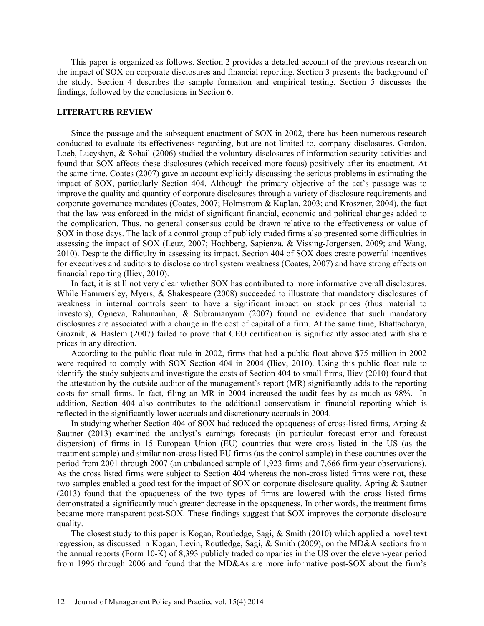This paper is organized as follows. Section 2 provides a detailed account of the previous research on the impact of SOX on corporate disclosures and financial reporting. Section 3 presents the background of the study. Section 4 describes the sample formation and empirical testing. Section 5 discusses the findings, followed by the conclusions in Section 6.

### **LITERATURE REVIEW**

Since the passage and the subsequent enactment of SOX in 2002, there has been numerous research conducted to evaluate its effectiveness regarding, but are not limited to, company disclosures. Gordon, Loeb, Lucyshyn, & Sohail (2006) studied the voluntary disclosures of information security activities and found that SOX affects these disclosures (which received more focus) positively after its enactment. At the same time, Coates (2007) gave an account explicitly discussing the serious problems in estimating the impact of SOX, particularly Section 404. Although the primary objective of the act's passage was to improve the quality and quantity of corporate disclosures through a variety of disclosure requirements and corporate governance mandates (Coates, 2007; Holmstrom & Kaplan, 2003; and Kroszner, 2004), the fact that the law was enforced in the midst of significant financial, economic and political changes added to the complication. Thus, no general consensus could be drawn relative to the effectiveness or value of SOX in those days. The lack of a control group of publicly traded firms also presented some difficulties in assessing the impact of SOX (Leuz, 2007; Hochberg, Sapienza, & Vissing-Jorgensen, 2009; and Wang, 2010). Despite the difficulty in assessing its impact, Section 404 of SOX does create powerful incentives for executives and auditors to disclose control system weakness (Coates, 2007) and have strong effects on financial reporting (Iliev, 2010).

In fact, it is still not very clear whether SOX has contributed to more informative overall disclosures. While Hammersley, Myers, & Shakespeare (2008) succeeded to illustrate that mandatory disclosures of weakness in internal controls seem to have a significant impact on stock prices (thus material to investors), Ogneva, Rahunanhan, & Subramanyam (2007) found no evidence that such mandatory disclosures are associated with a change in the cost of capital of a firm. At the same time, Bhattacharya, Groznik, & Haslem (2007) failed to prove that CEO certification is significantly associated with share prices in any direction.

According to the public float rule in 2002, firms that had a public float above \$75 million in 2002 were required to comply with SOX Section 404 in 2004 (Iliev, 2010). Using this public float rule to identify the study subjects and investigate the costs of Section 404 to small firms, Iliev (2010) found that the attestation by the outside auditor of the management's report (MR) significantly adds to the reporting costs for small firms. In fact, filing an MR in 2004 increased the audit fees by as much as 98%. In addition, Section 404 also contributes to the additional conservatism in financial reporting which is reflected in the significantly lower accruals and discretionary accruals in 2004.

In studying whether Section 404 of SOX had reduced the opaqueness of cross-listed firms, Arping  $\&$ Sautner (2013) examined the analyst's earnings forecasts (in particular forecast error and forecast dispersion) of firms in 15 European Union (EU) countries that were cross listed in the US (as the treatment sample) and similar non-cross listed EU firms (as the control sample) in these countries over the period from 2001 through 2007 (an unbalanced sample of 1,923 firms and 7,666 firm-year observations). As the cross listed firms were subject to Section 404 whereas the non-cross listed firms were not, these two samples enabled a good test for the impact of SOX on corporate disclosure quality. Apring & Sautner (2013) found that the opaqueness of the two types of firms are lowered with the cross listed firms demonstrated a significantly much greater decrease in the opaqueness. In other words, the treatment firms became more transparent post-SOX. These findings suggest that SOX improves the corporate disclosure quality.

The closest study to this paper is Kogan, Routledge, Sagi, & Smith (2010) which applied a novel text regression, as discussed in Kogan, Levin, Routledge, Sagi, & Smith (2009), on the MD&A sections from the annual reports (Form 10-K) of 8,393 publicly traded companies in the US over the eleven-year period from 1996 through 2006 and found that the MD&As are more informative post-SOX about the firm's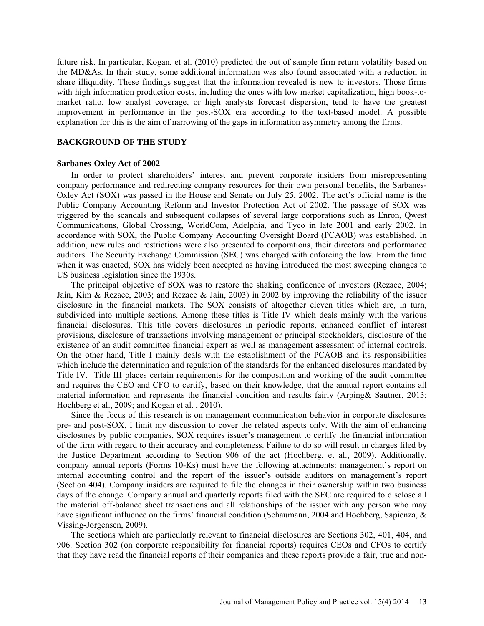future risk. In particular, Kogan, et al. (2010) predicted the out of sample firm return volatility based on the MD&As. In their study, some additional information was also found associated with a reduction in share illiquidity. These findings suggest that the information revealed is new to investors. Those firms with high information production costs, including the ones with low market capitalization, high book-tomarket ratio, low analyst coverage, or high analysts forecast dispersion, tend to have the greatest improvement in performance in the post-SOX era according to the text-based model. A possible explanation for this is the aim of narrowing of the gaps in information asymmetry among the firms.

### **BACKGROUND OF THE STUDY**

#### **Sarbanes-Oxley Act of 2002**

In order to protect shareholders' interest and prevent corporate insiders from misrepresenting company performance and redirecting company resources for their own personal benefits, the Sarbanes-Oxley Act (SOX) was passed in the House and Senate on July 25, 2002. The act's official name is the Public Company Accounting Reform and Investor Protection Act of 2002. The passage of SOX was triggered by the scandals and subsequent collapses of several large corporations such as Enron, Qwest Communications, Global Crossing, WorldCom, Adelphia, and Tyco in late 2001 and early 2002. In accordance with SOX, the Public Company Accounting Oversight Board (PCAOB) was established. In addition, new rules and restrictions were also presented to corporations, their directors and performance auditors. The Security Exchange Commission (SEC) was charged with enforcing the law. From the time when it was enacted, SOX has widely been accepted as having introduced the most sweeping changes to US business legislation since the 1930s.

The principal objective of SOX was to restore the shaking confidence of investors (Rezaee, 2004; Jain, Kim & Rezaee, 2003; and Rezaee & Jain, 2003) in 2002 by improving the reliability of the issuer disclosure in the financial markets. The SOX consists of altogether eleven titles which are, in turn, subdivided into multiple sections. Among these titles is Title IV which deals mainly with the various financial disclosures. This title covers disclosures in periodic reports, enhanced conflict of interest provisions, disclosure of transactions involving management or principal stockholders, disclosure of the existence of an audit committee financial expert as well as management assessment of internal controls. On the other hand, Title I mainly deals with the establishment of the PCAOB and its responsibilities which include the determination and regulation of the standards for the enhanced disclosures mandated by Title IV. Title III places certain requirements for the composition and working of the audit committee and requires the CEO and CFO to certify, based on their knowledge, that the annual report contains all material information and represents the financial condition and results fairly (Arping& Sautner, 2013; Hochberg et al., 2009; and Kogan et al. , 2010).

Since the focus of this research is on management communication behavior in corporate disclosures pre- and post-SOX, I limit my discussion to cover the related aspects only. With the aim of enhancing disclosures by public companies, SOX requires issuer's management to certify the financial information of the firm with regard to their accuracy and completeness. Failure to do so will result in charges filed by the Justice Department according to Section 906 of the act (Hochberg, et al., 2009). Additionally, company annual reports (Forms 10-Ks) must have the following attachments: management's report on internal accounting control and the report of the issuer's outside auditors on management's report (Section 404). Company insiders are required to file the changes in their ownership within two business days of the change. Company annual and quarterly reports filed with the SEC are required to disclose all the material off-balance sheet transactions and all relationships of the issuer with any person who may have significant influence on the firms' financial condition (Schaumann, 2004 and Hochberg, Sapienza, & Vissing-Jorgensen, 2009).

The sections which are particularly relevant to financial disclosures are Sections 302, 401, 404, and 906. Section 302 (on corporate responsibility for financial reports) requires CEOs and CFOs to certify that they have read the financial reports of their companies and these reports provide a fair, true and non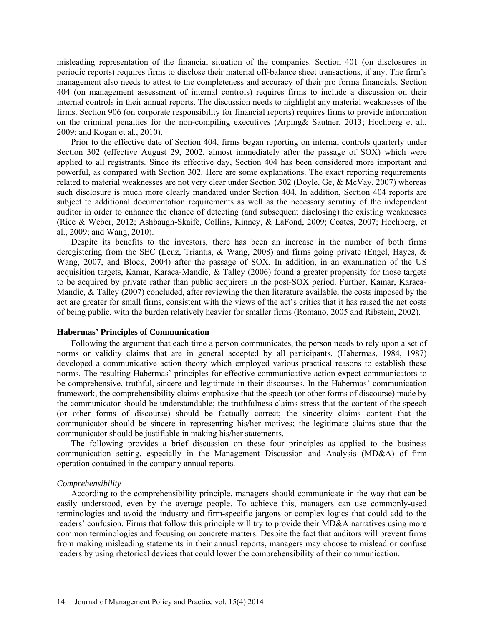misleading representation of the financial situation of the companies. Section 401 (on disclosures in periodic reports) requires firms to disclose their material off-balance sheet transactions, if any. The firm's management also needs to attest to the completeness and accuracy of their pro forma financials. Section 404 (on management assessment of internal controls) requires firms to include a discussion on their internal controls in their annual reports. The discussion needs to highlight any material weaknesses of the firms. Section 906 (on corporate responsibility for financial reports) requires firms to provide information on the criminal penalties for the non-compiling executives (Arping& Sautner, 2013; Hochberg et al., 2009; and Kogan et al., 2010).

Prior to the effective date of Section 404, firms began reporting on internal controls quarterly under Section 302 (effective August 29, 2002, almost immediately after the passage of SOX) which were applied to all registrants. Since its effective day, Section 404 has been considered more important and powerful, as compared with Section 302. Here are some explanations. The exact reporting requirements related to material weaknesses are not very clear under Section 302 (Doyle, Ge, & McVay, 2007) whereas such disclosure is much more clearly mandated under Section 404. In addition, Section 404 reports are subject to additional documentation requirements as well as the necessary scrutiny of the independent auditor in order to enhance the chance of detecting (and subsequent disclosing) the existing weaknesses (Rice & Weber, 2012; Ashbaugh-Skaife, Collins, Kinney, & LaFond, 2009; Coates, 2007; Hochberg, et al., 2009; and Wang, 2010).

Despite its benefits to the investors, there has been an increase in the number of both firms deregistering from the SEC (Leuz, Triantis, & Wang, 2008) and firms going private (Engel, Hayes, & Wang, 2007, and Block, 2004) after the passage of SOX. In addition, in an examination of the US acquisition targets, Kamar, Karaca-Mandic, & Talley (2006) found a greater propensity for those targets to be acquired by private rather than public acquirers in the post-SOX period. Further, Kamar, Karaca-Mandic, & Talley (2007) concluded, after reviewing the then literature available, the costs imposed by the act are greater for small firms, consistent with the views of the act's critics that it has raised the net costs of being public, with the burden relatively heavier for smaller firms (Romano, 2005 and Ribstein, 2002).

#### **Habermas' Principles of Communication**

Following the argument that each time a person communicates, the person needs to rely upon a set of norms or validity claims that are in general accepted by all participants, (Habermas, 1984, 1987) developed a communicative action theory which employed various practical reasons to establish these norms. The resulting Habermas' principles for effective communicative action expect communicators to be comprehensive, truthful, sincere and legitimate in their discourses. In the Habermas' communication framework, the comprehensibility claims emphasize that the speech (or other forms of discourse) made by the communicator should be understandable; the truthfulness claims stress that the content of the speech (or other forms of discourse) should be factually correct; the sincerity claims content that the communicator should be sincere in representing his/her motives; the legitimate claims state that the communicator should be justifiable in making his/her statements.

The following provides a brief discussion on these four principles as applied to the business communication setting, especially in the Management Discussion and Analysis (MD&A) of firm operation contained in the company annual reports.

#### *Comprehensibility*

According to the comprehensibility principle, managers should communicate in the way that can be easily understood, even by the average people. To achieve this, managers can use commonly-used terminologies and avoid the industry and firm-specific jargons or complex logics that could add to the readers' confusion. Firms that follow this principle will try to provide their MD&A narratives using more common terminologies and focusing on concrete matters. Despite the fact that auditors will prevent firms from making misleading statements in their annual reports, managers may choose to mislead or confuse readers by using rhetorical devices that could lower the comprehensibility of their communication.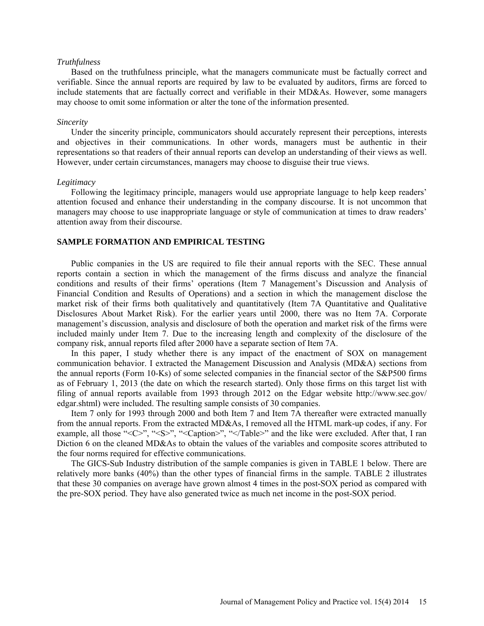#### *Truthfulness*

Based on the truthfulness principle, what the managers communicate must be factually correct and verifiable. Since the annual reports are required by law to be evaluated by auditors, firms are forced to include statements that are factually correct and verifiable in their MD&As. However, some managers may choose to omit some information or alter the tone of the information presented.

#### *Sincerity*

Under the sincerity principle, communicators should accurately represent their perceptions, interests and objectives in their communications. In other words, managers must be authentic in their representations so that readers of their annual reports can develop an understanding of their views as well. However, under certain circumstances, managers may choose to disguise their true views.

### *Legitimacy*

Following the legitimacy principle, managers would use appropriate language to help keep readers' attention focused and enhance their understanding in the company discourse. It is not uncommon that managers may choose to use inappropriate language or style of communication at times to draw readers' attention away from their discourse.

### **SAMPLE FORMATION AND EMPIRICAL TESTING**

Public companies in the US are required to file their annual reports with the SEC. These annual reports contain a section in which the management of the firms discuss and analyze the financial conditions and results of their firms' operations (Item 7 Management's Discussion and Analysis of Financial Condition and Results of Operations) and a section in which the management disclose the market risk of their firms both qualitatively and quantitatively (Item 7A Quantitative and Qualitative Disclosures About Market Risk). For the earlier years until 2000, there was no Item 7A. Corporate management's discussion, analysis and disclosure of both the operation and market risk of the firms were included mainly under Item 7. Due to the increasing length and complexity of the disclosure of the company risk, annual reports filed after 2000 have a separate section of Item 7A.

In this paper, I study whether there is any impact of the enactment of SOX on management communication behavior. I extracted the Management Discussion and Analysis (MD&A) sections from the annual reports (Form 10-Ks) of some selected companies in the financial sector of the S&P500 firms as of February 1, 2013 (the date on which the research started). Only those firms on this target list with filing of annual reports available from 1993 through 2012 on the Edgar website [http://www.sec.gov/](http://www.sec.gov/%20edgar.shtml)  [edgar.shtml\)](http://www.sec.gov/%20edgar.shtml) were included. The resulting sample consists of 30 companies.

Item 7 only for 1993 through 2000 and both Item 7 and Item 7A thereafter were extracted manually from the annual reports. From the extracted MD&As, I removed all the HTML mark-up codes, if any. For example, all those "<C>", "<S>", "<Caption>", "</Table>" and the like were excluded. After that, I ran Diction 6 on the cleaned MD&As to obtain the values of the variables and composite scores attributed to the four norms required for effective communications.

The GICS-Sub Industry distribution of the sample companies is given in TABLE 1 below. There are relatively more banks (40%) than the other types of financial firms in the sample. TABLE 2 illustrates that these 30 companies on average have grown almost 4 times in the post-SOX period as compared with the pre-SOX period. They have also generated twice as much net income in the post-SOX period.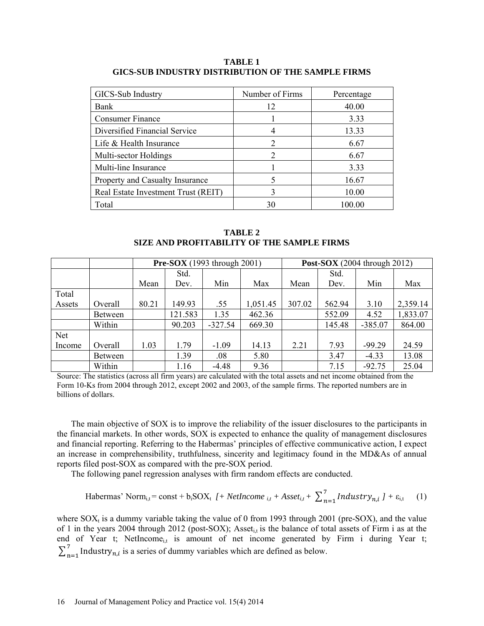**TABLE 1 GICS-SUB INDUSTRY DISTRIBUTION OF THE SAMPLE FIRMS**

| GICS-Sub Industry                   | Number of Firms             | Percentage |
|-------------------------------------|-----------------------------|------------|
| Bank                                | 12                          | 40.00      |
| <b>Consumer Finance</b>             |                             | 3.33       |
| Diversified Financial Service       | 4                           | 13.33      |
| Life & Health Insurance             | 2                           | 6.67       |
| Multi-sector Holdings               | $\mathcal{D}_{\mathcal{L}}$ | 6.67       |
| Multi-line Insurance                |                             | 3.33       |
| Property and Casualty Insurance     |                             | 16.67      |
| Real Estate Investment Trust (REIT) | 3                           | 10.00      |
| Total                               | 30                          | 100.00     |

**TABLE 2 SIZE AND PROFITABILITY OF THE SAMPLE FIRMS**

|            |                |       | <b>Pre-SOX</b> (1993 through 2001)<br><b>Post-SOX</b> (2004 through 2012) |           |          |        |        |           |          |
|------------|----------------|-------|---------------------------------------------------------------------------|-----------|----------|--------|--------|-----------|----------|
|            |                |       | Std.                                                                      |           |          |        | Std.   |           |          |
|            |                | Mean  | Dev.                                                                      | Min       | Max      | Mean   | Dev.   | Min       | Max      |
| Total      |                |       |                                                                           |           |          |        |        |           |          |
| Assets     | Overall        | 80.21 | 149.93                                                                    | .55       | 1,051.45 | 307.02 | 562.94 | 3.10      | 2,359.14 |
|            | <b>Between</b> |       | 121.583                                                                   | 1.35      | 462.36   |        | 552.09 | 4.52      | 1,833.07 |
|            | Within         |       | 90.203                                                                    | $-327.54$ | 669.30   |        | 145.48 | $-385.07$ | 864.00   |
| <b>Net</b> |                |       |                                                                           |           |          |        |        |           |          |
| Income     | Overall        | 1.03  | 1.79                                                                      | $-1.09$   | 14.13    | 2.21   | 7.93   | $-99.29$  | 24.59    |
|            | Between        |       | 1.39                                                                      | .08       | 5.80     |        | 3.47   | $-4.33$   | 13.08    |
|            | Within         |       | 1.16                                                                      | $-4.48$   | 9.36     |        | 7.15   | $-92.75$  | 25.04    |

Source: The statistics (across all firm years) are calculated with the total assets and net income obtained from the Form 10-Ks from 2004 through 2012, except 2002 and 2003, of the sample firms. The reported numbers are in billions of dollars.

The main objective of SOX is to improve the reliability of the issuer disclosures to the participants in the financial markets. In other words, SOX is expected to enhance the quality of management disclosures and financial reporting. Referring to the Habermas' principles of effective communicative action, I expect an increase in comprehensibility, truthfulness, sincerity and legitimacy found in the MD&As of annual reports filed post-SOX as compared with the pre-SOX period.

The following panel regression analyses with firm random effects are conducted.

Habermas' Norm<sub>i,t</sub> = const + b<sub>i</sub>SOX<sub>t</sub> 
$$
l
$$
 + *Netincome*  $_{i,t}$  + *Asset*<sub>i,t</sub> +  $\sum_{n=1}^{7} \text{Industry}_{n,i} \, l$  +  $\varepsilon_{i,t}$  (1)

where  $SOX_t$  is a dummy variable taking the value of 0 from 1993 through 2001 (pre-SOX), and the value of 1 in the years 2004 through 2012 (post-SOX); Asset<sub>it</sub> is the balance of total assets of Firm i as at the end of Year t; NetIncome<sub>it</sub> is amount of net income generated by Firm i during Year t;  $\sum_{n=1}^{7}$  Industry<sub>n,*i*</sub> is a series of dummy variables which are defined as below.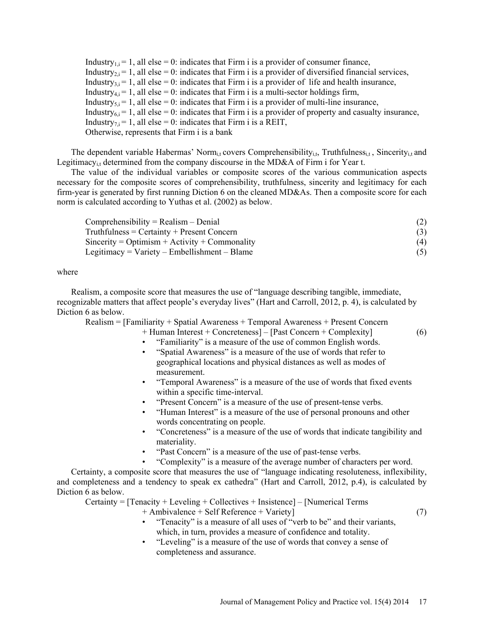Industry<sub>1,i</sub> = 1, all else = 0: indicates that Firm i is a provider of consumer finance, Industry<sub>2</sub>  $i = 1$ , all else = 0: indicates that Firm i is a provider of diversified financial services, Industry<sub>3</sub> $i = 1$ , all else = 0: indicates that Firm i is a provider of life and health insurance, Industry<sub>4,i</sub> = 1, all else = 0: indicates that Firm i is a multi-sector holdings firm, Industry<sub>5,i</sub> = 1, all else = 0: indicates that Firm i is a provider of multi-line insurance, Industry $_{6,i}$  = 1, all else = 0: indicates that Firm i is a provider of property and casualty insurance, Industry<sub>7</sub> $i = 1$ , all else = 0: indicates that Firm i is a REIT, Otherwise, represents that Firm i is a bank

The dependent variable Habermas' Norm<sub>i,t</sub> covers Comprehensibility<sub>i,t</sub>, Truthfulness<sub>i,t</sub>, Sincerity<sub>i,t</sub> and Legitimacy<sub>i</sub>, determined from the company discourse in the MD&A of Firm i for Year t.

The value of the individual variables or composite scores of the various communication aspects necessary for the composite scores of comprehensibility, truthfulness, sincerity and legitimacy for each firm-year is generated by first running Diction 6 on the cleaned MD&As. Then a composite score for each norm is calculated according to Yuthas et al. (2002) as below.

| $Comprehensibility = Realism - Denial$         |     |
|------------------------------------------------|-----|
| $Truthfulness = Certainty + Present Concern$   |     |
| $Sineerity = Optimism + Activity + Commandity$ | (4) |
| Legitimacy = $Variety$ – Embellishment – Blame | (5) |

where

Realism, a composite score that measures the use of "language describing tangible, immediate, recognizable matters that affect people's everyday lives" (Hart and Carroll, 2012, p. 4), is calculated by Diction 6 as below.

Realism = [Familiarity + Spatial Awareness + Temporal Awareness + Present Concern

+ Human Interest + Concreteness] – [Past Concern + Complexity] (6)

- "Familiarity" is a measure of the use of common English words.
- "Spatial Awareness" is a measure of the use of words that refer to geographical locations and physical distances as well as modes of measurement.
- "Temporal Awareness" is a measure of the use of words that fixed events within a specific time-interval.
- "Present Concern" is a measure of the use of present-tense verbs.
- "Human Interest" is a measure of the use of personal pronouns and other words concentrating on people.
- "Concreteness" is a measure of the use of words that indicate tangibility and materiality.
- "Past Concern" is a measure of the use of past-tense verbs.
	- "Complexity" is a measure of the average number of characters per word.

Certainty, a composite score that measures the use of "language indicating resoluteness, inflexibility, and completeness and a tendency to speak ex cathedra" (Hart and Carroll, 2012, p.4), is calculated by Diction 6 as below.

Certainty = [Tenacity + Leveling + Collectives + Insistence] – [Numerical Terms

- + Ambivalence + Self Reference + Variety] (7)
- "Tenacity" is a measure of all uses of "verb to be" and their variants, which, in turn, provides a measure of confidence and totality.
- "Leveling" is a measure of the use of words that convey a sense of completeness and assurance.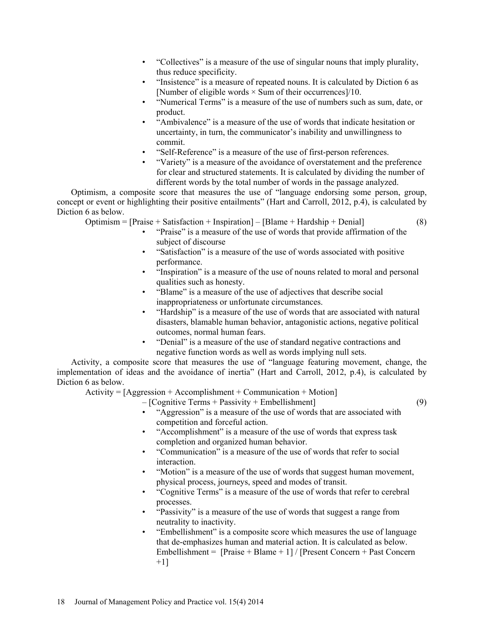- "Collectives" is a measure of the use of singular nouns that imply plurality, thus reduce specificity.
- "Insistence" is a measure of repeated nouns. It is calculated by Diction 6 as [Number of eligible words  $\times$  Sum of their occurrences]/10.
- "Numerical Terms" is a measure of the use of numbers such as sum, date, or product.
- "Ambivalence" is a measure of the use of words that indicate hesitation or uncertainty, in turn, the communicator's inability and unwillingness to commit.
- "Self-Reference" is a measure of the use of first-person references.
- "Variety" is a measure of the avoidance of overstatement and the preference for clear and structured statements. It is calculated by dividing the number of different words by the total number of words in the passage analyzed.

Optimism, a composite score that measures the use of "language endorsing some person, group, concept or event or highlighting their positive entailments" (Hart and Carroll, 2012, p.4), is calculated by Diction 6 as below.

 $\text{Optimism} = [\text{Praise} + \text{Satisfactor} + \text{Inspiration}] - [\text{Blame} + \text{Hardship} + \text{Denial}]$  (8)

- "Praise" is a measure of the use of words that provide affirmation of the subject of discourse
- "Satisfaction" is a measure of the use of words associated with positive performance.
- "Inspiration" is a measure of the use of nouns related to moral and personal qualities such as honesty.
- "Blame" is a measure of the use of adjectives that describe social inappropriateness or unfortunate circumstances.
- "Hardship" is a measure of the use of words that are associated with natural disasters, blamable human behavior, antagonistic actions, negative political outcomes, normal human fears.
- "Denial" is a measure of the use of standard negative contractions and negative function words as well as words implying null sets.

Activity, a composite score that measures the use of "language featuring movement, change, the implementation of ideas and the avoidance of inertia" (Hart and Carroll, 2012, p.4), is calculated by Diction 6 as below.

 $Activity = [Aggression + Accomplishment + Communication + Motion]$ 

- [Cognitive Terms + Passivity + Embellishment] (9)
	- "Aggression" is a measure of the use of words that are associated with competition and forceful action.
	- "Accomplishment" is a measure of the use of words that express task completion and organized human behavior.
	- "Communication" is a measure of the use of words that refer to social interaction.
	- "Motion" is a measure of the use of words that suggest human movement, physical process, journeys, speed and modes of transit.
	- "Cognitive Terms" is a measure of the use of words that refer to cerebral processes.
	- "Passivity" is a measure of the use of words that suggest a range from neutrality to inactivity.
	- "Embellishment" is a composite score which measures the use of language that de-emphasizes human and material action. It is calculated as below. Embellishment = [Praise + Blame + 1] / [Present Concern + Past Concern  $+1$ ]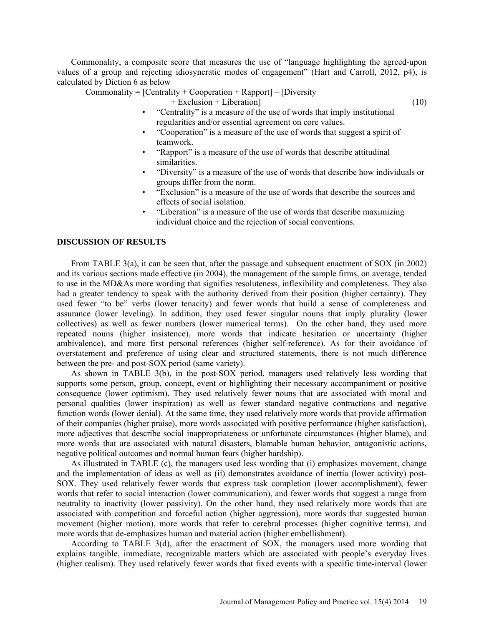Commonality, a composite score that measures the use of "language highlighting the agreed-upon values of a group and rejecting idiosyncratic modes of engagement" (Hart and Carroll, 2012, p4), is calculated by Diction 6 as below

 $Commonality = [Centrality + Cooperation + Rapport] - [Diversity]$ 

- + Exclusion + Liberation] (10)
- "Centrality" is a measure of the use of words that imply institutional regularities and/or essential agreement on core values.
- "Cooperation" is a measure of the use of words that suggest a spirit of teamwork.
- "Rapport" is a measure of the use of words that describe attitudinal similarities.
- "Diversity" is a measure of the use of words that describe how individuals or groups differ from the norm.
- "Exclusion" is a measure of the use of words that describe the sources and effects of social isolation.
- "Liberation" is a measure of the use of words that describe maximizing individual choice and the rejection of social conventions.

#### **DISCUSSION OF RESULTS**

From TABLE 3(a), it can be seen that, after the passage and subsequent enactment of SOX (in 2002) and its various sections made effective (in 2004), the management of the sample firms, on average, tended to use in the MD&As more wording that signifies resoluteness, inflexibility and completeness. They also had a greater tendency to speak with the authority derived from their position (higher certainty). They used fewer "to be" verbs (lower tenacity) and fewer words that build a sense of completeness and assurance (lower leveling). In addition, they used fewer singular nouns that imply plurality (lower collectives) as well as fewer numbers (lower numerical terms). On the other hand, they used more repeated nouns (higher insistence), more words that indicate hesitation or uncertainty (higher ambivalence), and more first personal references (higher self-reference). As for their avoidance of overstatement and preference of using clear and structured statements, there is not much difference between the pre- and post-SOX period (same variety).

As shown in TABLE 3(b), in the post-SOX period, managers used relatively less wording that supports some person, group, concept, event or highlighting their necessary accompaniment or positive consequence (lower optimism). They used relatively fewer nouns that are associated with moral and personal qualities (lower inspiration) as well as fewer standard negative contractions and negative function words (lower denial). At the same time, they used relatively more words that provide affirmation of their companies (higher praise), more words associated with positive performance (higher satisfaction), more adjectives that describe social inappropriateness or unfortunate circumstances (higher blame), and more words that are associated with natural disasters, blamable human behavior, antagonistic actions, negative political outcomes and normal human fears (higher hardship).

As illustrated in TABLE (c), the managers used less wording that (i) emphasizes movement, change and the implementation of ideas as well as (ii) demonstrates avoidance of inertia (lower activity) post-SOX. They used relatively fewer words that express task completion (lower accomplishment), fewer words that refer to social interaction (lower communication), and fewer words that suggest a range from neutrality to inactivity (lower passivity). On the other hand, they used relatively more words that are associated with competition and forceful action (higher aggression), more words that suggested human movement (higher motion), more words that refer to cerebral processes (higher cognitive terms), and more words that de-emphasizes human and material action (higher embellishment).

According to TABLE 3(d), after the enactment of SOX, the managers used more wording that explains tangible, immediate, recognizable matters which are associated with people's everyday lives (higher realism). They used relatively fewer words that fixed events with a specific time-interval (lower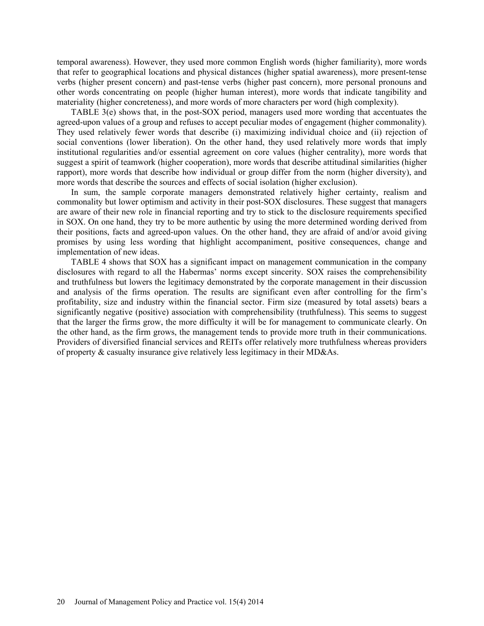temporal awareness). However, they used more common English words (higher familiarity), more words that refer to geographical locations and physical distances (higher spatial awareness), more present-tense verbs (higher present concern) and past-tense verbs (higher past concern), more personal pronouns and other words concentrating on people (higher human interest), more words that indicate tangibility and materiality (higher concreteness), and more words of more characters per word (high complexity).

TABLE 3(e) shows that, in the post-SOX period, managers used more wording that accentuates the agreed-upon values of a group and refuses to accept peculiar modes of engagement (higher commonality). They used relatively fewer words that describe (i) maximizing individual choice and (ii) rejection of social conventions (lower liberation). On the other hand, they used relatively more words that imply institutional regularities and/or essential agreement on core values (higher centrality), more words that suggest a spirit of teamwork (higher cooperation), more words that describe attitudinal similarities (higher rapport), more words that describe how individual or group differ from the norm (higher diversity), and more words that describe the sources and effects of social isolation (higher exclusion).

In sum, the sample corporate managers demonstrated relatively higher certainty, realism and commonality but lower optimism and activity in their post-SOX disclosures. These suggest that managers are aware of their new role in financial reporting and try to stick to the disclosure requirements specified in SOX. On one hand, they try to be more authentic by using the more determined wording derived from their positions, facts and agreed-upon values. On the other hand, they are afraid of and/or avoid giving promises by using less wording that highlight accompaniment, positive consequences, change and implementation of new ideas.

TABLE 4 shows that SOX has a significant impact on management communication in the company disclosures with regard to all the Habermas' norms except sincerity. SOX raises the comprehensibility and truthfulness but lowers the legitimacy demonstrated by the corporate management in their discussion and analysis of the firms operation. The results are significant even after controlling for the firm's profitability, size and industry within the financial sector. Firm size (measured by total assets) bears a significantly negative (positive) association with comprehensibility (truthfulness). This seems to suggest that the larger the firms grow, the more difficulty it will be for management to communicate clearly. On the other hand, as the firm grows, the management tends to provide more truth in their communications. Providers of diversified financial services and REITs offer relatively more truthfulness whereas providers of property & casualty insurance give relatively less legitimacy in their MD&As.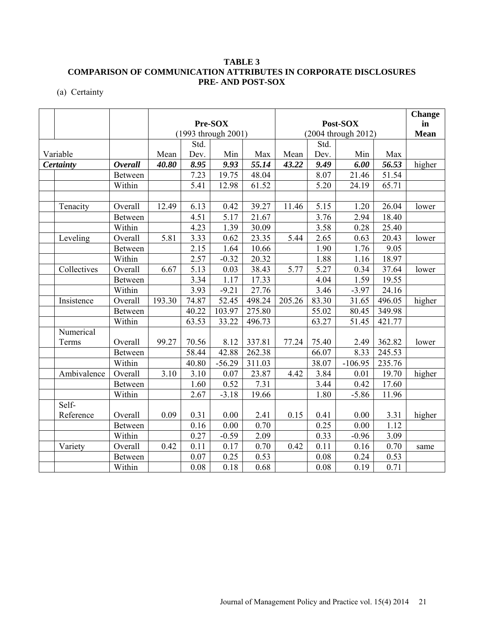(a) Certainty

|             |                |        |                                            |          |        |        |             |           |        | <b>Change</b> |
|-------------|----------------|--------|--------------------------------------------|----------|--------|--------|-------------|-----------|--------|---------------|
|             |                |        |                                            | Pre-SOX  |        |        |             | Post-SOX  |        | in            |
|             |                |        | (1993 through 2001)<br>(2004 through 2012) |          |        |        | <b>Mean</b> |           |        |               |
|             |                |        | Std.                                       |          |        |        | Std.        |           |        |               |
| Variable    |                | Mean   | Dev.                                       | Min      | Max    | Mean   | Dev.        | Min       | Max    |               |
| Certainty   | <b>Overall</b> | 40.80  | 8.95                                       | 9.93     | 55.14  | 43.22  | 9.49        | 6.00      | 56.53  | higher        |
|             | Between        |        | 7.23                                       | 19.75    | 48.04  |        | 8.07        | 21.46     | 51.54  |               |
|             | Within         |        | 5.41                                       | 12.98    | 61.52  |        | 5.20        | 24.19     | 65.71  |               |
|             |                |        |                                            |          |        |        |             |           |        |               |
| Tenacity    | Overall        | 12.49  | 6.13                                       | 0.42     | 39.27  | 11.46  | 5.15        | 1.20      | 26.04  | lower         |
|             | Between        |        | 4.51                                       | 5.17     | 21.67  |        | 3.76        | 2.94      | 18.40  |               |
|             | Within         |        | 4.23                                       | 1.39     | 30.09  |        | 3.58        | 0.28      | 25.40  |               |
| Leveling    | Overall        | 5.81   | 3.33                                       | 0.62     | 23.35  | 5.44   | 2.65        | 0.63      | 20.43  | lower         |
|             | Between        |        | 2.15                                       | 1.64     | 10.66  |        | 1.90        | 1.76      | 9.05   |               |
|             | Within         |        | 2.57                                       | $-0.32$  | 20.32  |        | 1.88        | 1.16      | 18.97  |               |
| Collectives | Overall        | 6.67   | $\overline{5.13}$                          | 0.03     | 38.43  | 5.77   | 5.27        | 0.34      | 37.64  | lower         |
|             | Between        |        | 3.34                                       | 1.17     | 17.33  |        | 4.04        | 1.59      | 19.55  |               |
|             | Within         |        | 3.93                                       | $-9.21$  | 27.76  |        | 3.46        | $-3.97$   | 24.16  |               |
| Insistence  | Overall        | 193.30 | 74.87                                      | 52.45    | 498.24 | 205.26 | 83.30       | 31.65     | 496.05 | higher        |
|             | <b>Between</b> |        | 40.22                                      | 103.97   | 275.80 |        | 55.02       | 80.45     | 349.98 |               |
|             | Within         |        | 63.53                                      | 33.22    | 496.73 |        | 63.27       | 51.45     | 421.77 |               |
| Numerical   |                |        |                                            |          |        |        |             |           |        |               |
| Terms       | Overall        | 99.27  | 70.56                                      | 8.12     | 337.81 | 77.24  | 75.40       | 2.49      | 362.82 | lower         |
|             | Between        |        | $\overline{58.44}$                         | 42.88    | 262.38 |        | 66.07       | 8.33      | 245.53 |               |
|             | Within         |        | 40.80                                      | $-56.29$ | 311.03 |        | 38.07       | $-106.95$ | 235.76 |               |
| Ambivalence | Overall        | 3.10   | 3.10                                       | 0.07     | 23.87  | 4.42   | 3.84        | 0.01      | 19.70  | higher        |
|             | Between        |        | 1.60                                       | 0.52     | 7.31   |        | 3.44        | 0.42      | 17.60  |               |
|             | Within         |        | 2.67                                       | $-3.18$  | 19.66  |        | 1.80        | $-5.86$   | 11.96  |               |
| Self-       |                |        |                                            |          |        |        |             |           |        |               |
| Reference   | Overall        | 0.09   | 0.31                                       | 0.00     | 2.41   | 0.15   | 0.41        | 0.00      | 3.31   | higher        |
|             | Between        |        | 0.16                                       | 0.00     | 0.70   |        | 0.25        | 0.00      | 1.12   |               |
|             | Within         |        | 0.27                                       | $-0.59$  | 2.09   |        | 0.33        | $-0.96$   | 3.09   |               |
| Variety     | Overall        | 0.42   | 0.11                                       | 0.17     | 0.70   | 0.42   | 0.11        | 0.16      | 0.70   | same          |
|             | Between        |        | 0.07                                       | 0.25     | 0.53   |        | 0.08        | 0.24      | 0.53   |               |
|             | Within         |        | 0.08                                       | 0.18     | 0.68   |        | 0.08        | 0.19      | 0.71   |               |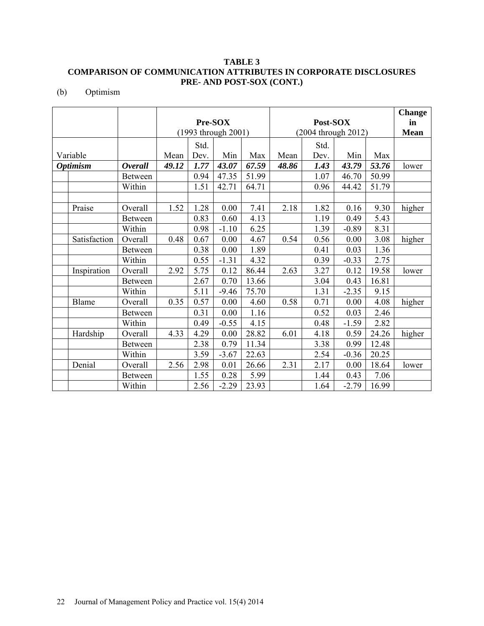(b) Optimism

|                 |              |                |         |                     |         |          |                     |      |         |       | <b>Change</b> |
|-----------------|--------------|----------------|---------|---------------------|---------|----------|---------------------|------|---------|-------|---------------|
|                 |              |                | Pre-SOX |                     |         | Post-SOX |                     |      |         | in    |               |
|                 |              |                |         | (1993 through 2001) |         |          | (2004 through 2012) |      |         |       | <b>Mean</b>   |
|                 |              |                |         | Std.                |         |          |                     | Std. |         |       |               |
|                 | Variable     |                | Mean    | Dev.                | Min     | Max      | Mean                | Dev. | Min     | Max   |               |
| <b>Optimism</b> |              | <b>Overall</b> | 49.12   | 1.77                | 43.07   | 67.59    | 48.86               | 1.43 | 43.79   | 53.76 | lower         |
|                 |              | <b>Between</b> |         | 0.94                | 47.35   | 51.99    |                     | 1.07 | 46.70   | 50.99 |               |
|                 |              | Within         |         | 1.51                | 42.71   | 64.71    |                     | 0.96 | 44.42   | 51.79 |               |
|                 |              |                |         |                     |         |          |                     |      |         |       |               |
|                 | Praise       | Overall        | 1.52    | 1.28                | 0.00    | 7.41     | 2.18                | 1.82 | 0.16    | 9.30  | higher        |
|                 |              | <b>Between</b> |         | 0.83                | 0.60    | 4.13     |                     | 1.19 | 0.49    | 5.43  |               |
|                 |              | Within         |         | 0.98                | $-1.10$ | 6.25     |                     | 1.39 | $-0.89$ | 8.31  |               |
|                 | Satisfaction | Overall        | 0.48    | 0.67                | 0.00    | 4.67     | 0.54                | 0.56 | 0.00    | 3.08  | higher        |
|                 |              | <b>Between</b> |         | 0.38                | 0.00    | 1.89     |                     | 0.41 | 0.03    | 1.36  |               |
|                 |              | Within         |         | 0.55                | $-1.31$ | 4.32     |                     | 0.39 | $-0.33$ | 2.75  |               |
|                 | Inspiration  | Overall        | 2.92    | 5.75                | 0.12    | 86.44    | 2.63                | 3.27 | 0.12    | 19.58 | lower         |
|                 |              | <b>Between</b> |         | 2.67                | 0.70    | 13.66    |                     | 3.04 | 0.43    | 16.81 |               |
|                 |              | Within         |         | 5.11                | $-9.46$ | 75.70    |                     | 1.31 | $-2.35$ | 9.15  |               |
|                 | Blame        | Overall        | 0.35    | 0.57                | 0.00    | 4.60     | 0.58                | 0.71 | 0.00    | 4.08  | higher        |
|                 |              | <b>Between</b> |         | 0.31                | 0.00    | 1.16     |                     | 0.52 | 0.03    | 2.46  |               |
|                 |              | Within         |         | 0.49                | $-0.55$ | 4.15     |                     | 0.48 | $-1.59$ | 2.82  |               |
|                 | Hardship     | Overall        | 4.33    | 4.29                | 0.00    | 28.82    | 6.01                | 4.18 | 0.59    | 24.26 | higher        |
|                 |              | <b>Between</b> |         | 2.38                | 0.79    | 11.34    |                     | 3.38 | 0.99    | 12.48 |               |
|                 |              | Within         |         | 3.59                | $-3.67$ | 22.63    |                     | 2.54 | $-0.36$ | 20.25 |               |
|                 | Denial       | Overall        | 2.56    | 2.98                | 0.01    | 26.66    | 2.31                | 2.17 | 0.00    | 18.64 | lower         |
|                 |              | <b>Between</b> |         | 1.55                | 0.28    | 5.99     |                     | 1.44 | 0.43    | 7.06  |               |
|                 |              | Within         |         | 2.56                | $-2.29$ | 23.93    |                     | 1.64 | $-2.79$ | 16.99 |               |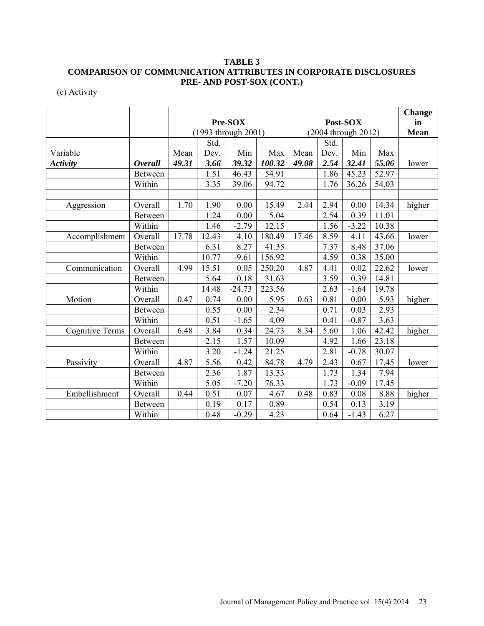(c) Activity

|                 |                        |                |         |                     |          |          |                     |      |         |       | <b>Change</b> |
|-----------------|------------------------|----------------|---------|---------------------|----------|----------|---------------------|------|---------|-------|---------------|
|                 |                        |                | Pre-SOX |                     |          | Post-SOX |                     |      |         | in    |               |
|                 |                        |                |         | (1993 through 2001) |          |          | (2004 through 2012) |      |         |       | Mean          |
|                 |                        |                |         | Std.                |          |          |                     | Std. |         |       |               |
|                 | Variable               |                | Mean    | Dev.                | Min      | Max      | Mean                | Dev. | Min     | Max   |               |
| <b>Activity</b> |                        | <b>Overall</b> | 49.31   | 3.66                | 39.32    | 100.32   | 49.08               | 2.54 | 32.41   | 55.06 | lower         |
|                 |                        | <b>Between</b> |         | 1.51                | 46.43    | 54.91    |                     | 1.86 | 45.23   | 52.97 |               |
|                 |                        | Within         |         | 3.35                | 39.06    | 94.72    |                     | 1.76 | 36.26   | 54.03 |               |
|                 |                        |                |         |                     |          |          |                     |      |         |       |               |
|                 | Aggression             | Overall        | 1.70    | 1.90                | 0.00     | 15.49    | 2.44                | 2.94 | 0.00    | 14.34 | higher        |
|                 |                        | <b>Between</b> |         | 1.24                | 0.00     | 5.04     |                     | 2.54 | 0.39    | 11.01 |               |
|                 |                        | Within         |         | 1.46                | $-2.79$  | 12.15    |                     | 1.56 | $-3.22$ | 10.38 |               |
|                 | Accomplishment         | Overall        | 17.78   | 12.43               | 4.10     | 180.49   | 17.46               | 8.59 | 4.11    | 43.66 | lower         |
|                 |                        | <b>Between</b> |         | 6.31                | 8.27     | 41.35    |                     | 7.37 | 8.48    | 37.06 |               |
|                 |                        | Within         |         | 10.77               | $-9.61$  | 156.92   |                     | 4.59 | 0.38    | 35.00 |               |
|                 | Communication          | Overall        | 4.99    | 15.51               | 0.05     | 250.20   | 4.87                | 4.41 | 0.02    | 22.62 | lower         |
|                 |                        | <b>Between</b> |         | 5.64                | 0.18     | 31.63    |                     | 3.59 | 0.39    | 14.81 |               |
|                 |                        | Within         |         | 14.48               | $-24.73$ | 223.56   |                     | 2.63 | $-1.64$ | 19.78 |               |
|                 | Motion                 | Overall        | 0.47    | 0.74                | 0.00     | 5.95     | 0.63                | 0.81 | 0.00    | 5.93  | higher        |
|                 |                        | Between        |         | 0.55                | 0.00     | 2.34     |                     | 0.71 | 0.03    | 2.93  |               |
|                 |                        | Within         |         | 0.51                | $-1.65$  | 4.09     |                     | 0.41 | $-0.87$ | 3.63  |               |
|                 | <b>Cognitive Terms</b> | Overall        | 6.48    | 3.84                | 0.34     | 24.73    | 8.34                | 5.60 | 1.06    | 42.42 | higher        |
|                 |                        | <b>Between</b> |         | 2.15                | 1.57     | 10.09    |                     | 4.92 | 1.66    | 23.18 |               |
|                 |                        | Within         |         | 3.20                | $-1.24$  | 21.25    |                     | 2.81 | $-0.78$ | 30.07 |               |
|                 | Passivity              | Overall        | 4.87    | 5.56                | 0.42     | 84.78    | 4.79                | 2.43 | 0.67    | 17.45 | lower         |
|                 |                        | <b>Between</b> |         | 2.36                | 1.87     | 13.33    |                     | 1.73 | 1.34    | 7.94  |               |
|                 |                        | Within         |         | 5.05                | $-7.20$  | 76.33    |                     | 1.73 | $-0.09$ | 17.45 |               |
|                 | Embellishment          | Overall        | 0.44    | 0.51                | 0.07     | 4.67     | 0.48                | 0.83 | 0.08    | 8.88  | higher        |
|                 |                        | Between        |         | 0.19                | 0.17     | 0.89     |                     | 0.54 | 0.13    | 3.19  |               |
|                 |                        | Within         |         | 0.48                | $-0.29$  | 4.23     |                     | 0.64 | $-1.43$ | 6.27  |               |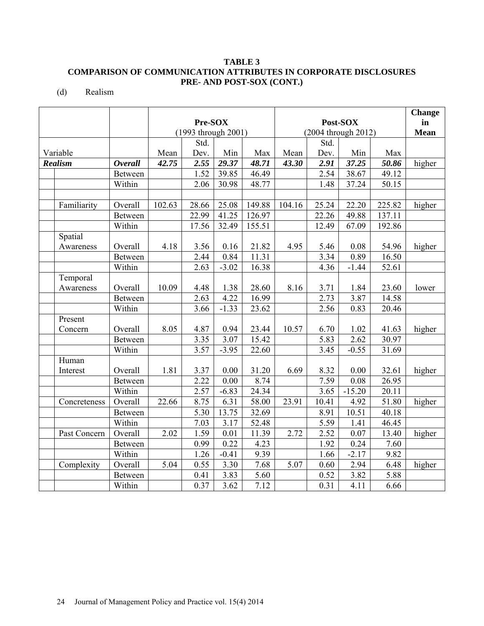(d) Realism

|                |                |        |                     |                    |                     |        |       |          |             | <b>Change</b> |
|----------------|----------------|--------|---------------------|--------------------|---------------------|--------|-------|----------|-------------|---------------|
|                |                |        | Pre-SOX             |                    |                     |        |       | Post-SOX |             | $\mathbf{in}$ |
|                |                |        | (1993 through 2001) |                    | (2004 through 2012) |        |       |          | <b>Mean</b> |               |
|                |                |        | Std.                |                    |                     |        | Std.  |          |             |               |
| Variable       |                | Mean   | Dev.                | Min                | Max                 | Mean   | Dev.  | Min      | Max         |               |
| <b>Realism</b> | <b>Overall</b> | 42.75  | 2.55                | $\overline{29.37}$ | 48.71               | 43.30  | 2.91  | 37.25    | 50.86       | higher        |
|                | <b>Between</b> |        | 1.52                | 39.85              | 46.49               |        | 2.54  | 38.67    | 49.12       |               |
|                | Within         |        | 2.06                | 30.98              | 48.77               |        | 1.48  | 37.24    | 50.15       |               |
|                |                |        |                     |                    |                     |        |       |          |             |               |
| Familiarity    | Overall        | 102.63 | 28.66               | 25.08              | 149.88              | 104.16 | 25.24 | 22.20    | 225.82      | higher        |
|                | <b>Between</b> |        | 22.99               | 41.25              | 126.97              |        | 22.26 | 49.88    | 137.11      |               |
|                | Within         |        | 17.56               | 32.49              | 155.51              |        | 12.49 | 67.09    | 192.86      |               |
| Spatial        |                |        |                     |                    |                     |        |       |          |             |               |
| Awareness      | Overall        | 4.18   | 3.56                | 0.16               | 21.82               | 4.95   | 5.46  | 0.08     | 54.96       | higher        |
|                | <b>Between</b> |        | 2.44                | 0.84               | 11.31               |        | 3.34  | 0.89     | 16.50       |               |
|                | Within         |        | 2.63                | $-3.02$            | 16.38               |        | 4.36  | $-1.44$  | 52.61       |               |
| Temporal       |                |        |                     |                    |                     |        |       |          |             |               |
| Awareness      | Overall        | 10.09  | 4.48                | 1.38               | 28.60               | 8.16   | 3.71  | 1.84     | 23.60       | lower         |
|                | <b>Between</b> |        | 2.63                | 4.22               | 16.99               |        | 2.73  | 3.87     | 14.58       |               |
|                | Within         |        | 3.66                | $-1.33$            | 23.62               |        | 2.56  | 0.83     | 20.46       |               |
| Present        |                |        |                     |                    |                     |        |       |          |             |               |
| Concern        | Overall        | 8.05   | 4.87                | 0.94               | 23.44               | 10.57  | 6.70  | 1.02     | 41.63       | higher        |
|                | <b>Between</b> |        | 3.35                | 3.07               | 15.42               |        | 5.83  | 2.62     | 30.97       |               |
|                | Within         |        | 3.57                | $-3.95$            | 22.60               |        | 3.45  | $-0.55$  | 31.69       |               |
| Human          |                |        |                     |                    |                     |        |       |          |             |               |
| Interest       | Overall        | 1.81   | 3.37                | 0.00               | 31.20               | 6.69   | 8.32  | 0.00     | 32.61       | higher        |
|                | Between        |        | 2.22                | 0.00               | 8.74                |        | 7.59  | 0.08     | 26.95       |               |
|                | Within         |        | 2.57                | $-6.83$            | 24.34               |        | 3.65  | $-15.20$ | 20.11       |               |
| Concreteness   | Overall        | 22.66  | 8.75                | 6.31               | 58.00               | 23.91  | 10.41 | 4.92     | 51.80       | higher        |
|                | Between        |        | 5.30                | 13.75              | 32.69               |        | 8.91  | 10.51    | 40.18       |               |
|                | Within         |        | 7.03                | 3.17               | 52.48               |        | 5.59  | 1.41     | 46.45       |               |
| Past Concern   | Overall        | 2.02   | 1.59                | 0.01               | 11.39               | 2.72   | 2.52  | 0.07     | 13.40       | higher        |
|                | Between        |        | 0.99                | 0.22               | 4.23                |        | 1.92  | 0.24     | 7.60        |               |
|                | Within         |        | 1.26                | $-0.41$            | 9.39                |        | 1.66  | $-2.17$  | 9.82        |               |
| Complexity     | Overall        | 5.04   | 0.55                | 3.30               | 7.68                | 5.07   | 0.60  | 2.94     | 6.48        | higher        |
|                | Between        |        | 0.41                | 3.83               | 5.60                |        | 0.52  | 3.82     | 5.88        |               |
|                | Within         |        | 0.37                | 3.62               | 7.12                |        | 0.31  | 4.11     | 6.66        |               |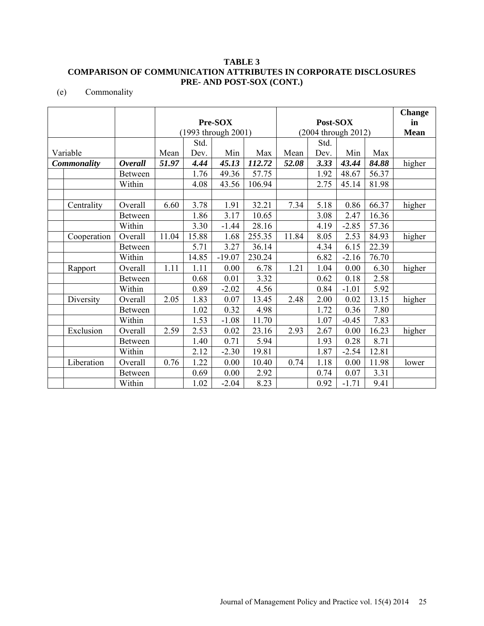(e) Commonality

|             |                     |         |       |          |          |                     |      |         |       | <b>Change</b> |
|-------------|---------------------|---------|-------|----------|----------|---------------------|------|---------|-------|---------------|
|             |                     | Pre-SOX |       |          | Post-SOX |                     |      |         | in    |               |
|             | (1993 through 2001) |         |       |          |          | (2004 through 2012) |      |         |       | <b>Mean</b>   |
|             |                     |         | Std.  |          |          |                     | Std. |         |       |               |
| Variable    |                     | Mean    | Dev.  | Min      | Max      | Mean                | Dev. | Min     | Max   |               |
| Commonality | <b>Overall</b>      | 51.97   | 4.44  | 45.13    | 112.72   | 52.08               | 3.33 | 43.44   | 84.88 | higher        |
|             | Between             |         | 1.76  | 49.36    | 57.75    |                     | 1.92 | 48.67   | 56.37 |               |
|             | Within              |         | 4.08  | 43.56    | 106.94   |                     | 2.75 | 45.14   | 81.98 |               |
|             |                     |         |       |          |          |                     |      |         |       |               |
| Centrality  | Overall             | 6.60    | 3.78  | 1.91     | 32.21    | 7.34                | 5.18 | 0.86    | 66.37 | higher        |
|             | <b>Between</b>      |         | 1.86  | 3.17     | 10.65    |                     | 3.08 | 2.47    | 16.36 |               |
|             | Within              |         | 3.30  | $-1.44$  | 28.16    |                     | 4.19 | $-2.85$ | 57.36 |               |
| Cooperation | Overall             | 11.04   | 15.88 | 1.68     | 255.35   | 11.84               | 8.05 | 2.53    | 84.93 | higher        |
|             | Between             |         | 5.71  | 3.27     | 36.14    |                     | 4.34 | 6.15    | 22.39 |               |
|             | Within              |         | 14.85 | $-19.07$ | 230.24   |                     | 6.82 | $-2.16$ | 76.70 |               |
| Rapport     | Overall             | 1.11    | 1.11  | 0.00     | 6.78     | 1.21                | 1.04 | 0.00    | 6.30  | higher        |
|             | <b>Between</b>      |         | 0.68  | 0.01     | 3.32     |                     | 0.62 | 0.18    | 2.58  |               |
|             | Within              |         | 0.89  | $-2.02$  | 4.56     |                     | 0.84 | $-1.01$ | 5.92  |               |
| Diversity   | Overall             | 2.05    | 1.83  | 0.07     | 13.45    | 2.48                | 2.00 | 0.02    | 13.15 | higher        |
|             | <b>Between</b>      |         | 1.02  | 0.32     | 4.98     |                     | 1.72 | 0.36    | 7.80  |               |
|             | Within              |         | 1.53  | $-1.08$  | 11.70    |                     | 1.07 | $-0.45$ | 7.83  |               |
| Exclusion   | Overall             | 2.59    | 2.53  | 0.02     | 23.16    | 2.93                | 2.67 | 0.00    | 16.23 | higher        |
|             | <b>Between</b>      |         | 1.40  | 0.71     | 5.94     |                     | 1.93 | 0.28    | 8.71  |               |
|             | Within              |         | 2.12  | $-2.30$  | 19.81    |                     | 1.87 | $-2.54$ | 12.81 |               |
| Liberation  | Overall             | 0.76    | 1.22  | 0.00     | 10.40    | 0.74                | 1.18 | 0.00    | 11.98 | lower         |
|             | Between             |         | 0.69  | 0.00     | 2.92     |                     | 0.74 | 0.07    | 3.31  |               |
|             | Within              |         | 1.02  | $-2.04$  | 8.23     |                     | 0.92 | $-1.71$ | 9.41  |               |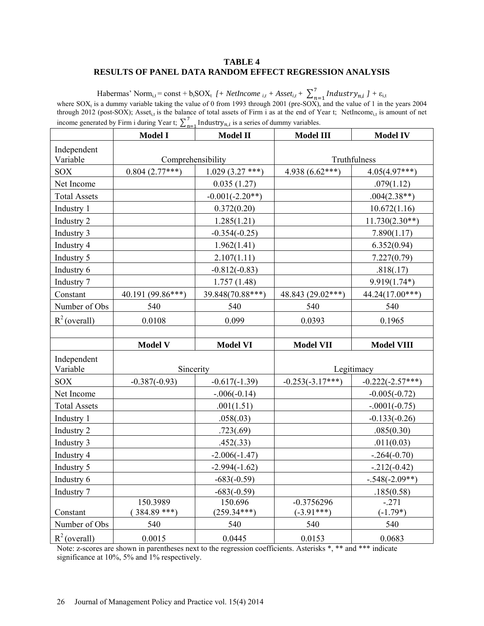### **TABLE 4 RESULTS OF PANEL DATA RANDOM EFFECT REGRESSION ANALYSIS**

Habermas' Norm<sub>i,t</sub> = const + b<sub>i</sub>SOX<sub>t</sub> *[+ NetIncome <sub>i,t</sub> + Asset<sub>i,t</sub> +*  $\sum_{n=1}^{7}$  *Industry<sub>n,i</sub> ] +*  $\varepsilon_{i,t}$ where  $SOX_t$  is a dummy variable taking the value of 0 from 1993 through 2001 (pre-SOX), and the value of 1 in the years 2004 through 2012 (post-SOX); Asset<sub>i,t</sub> is the balance of total assets of Firm i as at the end of Year t; NetIncome<sub>i,t</sub> is amount of net income generated by Firm i during Year t;  $\sum_{n=1}^{7}$  Industry<sub>n,*i*</sub> is a series of dummy variables.

|                         | <b>Model I</b>            | <b>Model II</b>          | <b>Model III</b>             | <b>Model IV</b>       |  |
|-------------------------|---------------------------|--------------------------|------------------------------|-----------------------|--|
| Independent<br>Variable | Comprehensibility         |                          |                              | Truthfulness          |  |
| <b>SOX</b>              | $0.804(2.77***)$          | $1.029(3.27***)$         | 4.938 $(6.62***)$            | $4.05(4.97***)$       |  |
| Net Income              |                           | 0.035(1.27)              |                              | .079(1.12)            |  |
| <b>Total Assets</b>     |                           | $-0.001(-2.20**)$        |                              | $.004(2.38**)$        |  |
| Industry 1              |                           | 0.372(0.20)              |                              | 10.672(1.16)          |  |
| Industry 2              |                           | 1.285(1.21)              |                              | $11.730(2.30**)$      |  |
| Industry 3              |                           | $-0.354(-0.25)$          |                              | 7.890(1.17)           |  |
| Industry 4              |                           | 1.962(1.41)              |                              | 6.352(0.94)           |  |
| Industry 5              |                           | 2.107(1.11)              |                              | 7.227(0.79)           |  |
| Industry 6              |                           | $-0.812(-0.83)$          |                              | .818(.17)             |  |
| Industry 7              |                           | 1.757(1.48)              |                              | $9.919(1.74*)$        |  |
| Constant                | 40.191 (99.86***)         | 39.848(70.88***)         | 48.843 (29.02***)            | $44.24(17.00***)$     |  |
| Number of Obs           | 540                       | 540                      | 540                          | 540                   |  |
| $R^2$ (overall)         | 0.0108                    | 0.099                    | 0.0393                       | 0.1965                |  |
|                         |                           |                          |                              |                       |  |
|                         | <b>Model V</b>            | <b>Model VI</b>          | <b>Model VII</b>             | <b>Model VIII</b>     |  |
| Independent<br>Variable | Sincerity                 |                          | Legitimacy                   |                       |  |
| SOX                     | $-0.387(-0.93)$           | $-0.617(-1.39)$          | $-0.253(-3.17***)$           | $-0.222(-2.57***)$    |  |
| Net Income              |                           | $-.006(-0.14)$           |                              | $-0.005(-0.72)$       |  |
| <b>Total Assets</b>     |                           | .001(1.51)               |                              | $-.0001(-0.75)$       |  |
| Industry 1              |                           | .058(.03)                |                              | $-0.133(-0.26)$       |  |
| Industry 2              |                           | .723(.69)                |                              | .085(0.30)            |  |
| Industry 3              |                           | .452(.33)                |                              | .011(0.03)            |  |
| Industry 4              |                           | $-2.006(-1.47)$          |                              | $-.264(-0.70)$        |  |
| Industry 5              |                           | $-2.994(-1.62)$          |                              | $-212(-0.42)$         |  |
| Industry 6              |                           | $-683(-0.59)$            |                              | $-.548(-2.09**)$      |  |
| Industry 7              |                           | $-683(-0.59)$            |                              | .185(0.58)            |  |
| Constant                | 150.3989<br>$384.89$ ***) | 150.696<br>$(259.34***)$ | $-0.3756296$<br>$(-3.91***)$ | $-.271$<br>$(-1.79*)$ |  |
| Number of Obs           | 540                       | 540                      | 540                          | 540                   |  |
| $R^2$ (overall)         | 0.0015                    | 0.0445                   | 0.0153                       | 0.0683                |  |

Note: z-scores are shown in parentheses next to the regression coefficients. Asterisks \*, \*\* and \*\*\* indicate significance at 10%, 5% and 1% respectively.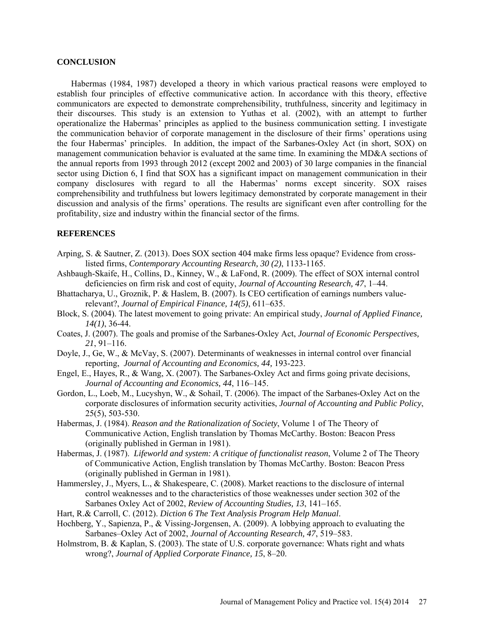### **CONCLUSION**

Habermas (1984, 1987) developed a theory in which various practical reasons were employed to establish four principles of effective communicative action. In accordance with this theory, effective communicators are expected to demonstrate comprehensibility, truthfulness, sincerity and legitimacy in their discourses. This study is an extension to Yuthas et al. (2002), with an attempt to further operationalize the Habermas' principles as applied to the business communication setting. I investigate the communication behavior of corporate management in the disclosure of their firms' operations using the four Habermas' principles. In addition, the impact of the Sarbanes-Oxley Act (in short, SOX) on management communication behavior is evaluated at the same time. In examining the MD&A sections of the annual reports from 1993 through 2012 (except 2002 and 2003) of 30 large companies in the financial sector using Diction 6, I find that SOX has a significant impact on management communication in their company disclosures with regard to all the Habermas' norms except sincerity. SOX raises comprehensibility and truthfulness but lowers legitimacy demonstrated by corporate management in their discussion and analysis of the firms' operations. The results are significant even after controlling for the profitability, size and industry within the financial sector of the firms.

### **REFERENCES**

- Arping, S. & Sautner, Z. (2013). Does SOX section 404 make firms less opaque? Evidence from crosslisted firms, *Contemporary Accounting Research, 30 (2)*, 1133-1165.
- Ashbaugh-Skaife, H., Collins, D., Kinney, W., & LaFond, R. (2009). The effect of SOX internal control deficiencies on firm risk and cost of equity, *Journal of Accounting Research, 47*, 1–44.
- Bhattacharya, U., Groznik, P. & Haslem, B. (2007). Is CEO certification of earnings numbers valuerelevant?, *Journal of Empirical Finance, 14(5)*, 611–635.
- Block, S. (2004). The latest movement to going private: An empirical study, *Journal of Applied Finance, 14(1)*, 36-44.
- Coates, J. (2007). The goals and promise of the Sarbanes-Oxley Act, *Journal of Economic Perspectives, 21*, 91–116.
- Doyle, J., Ge, W., & McVay, S. (2007). Determinants of weaknesses in internal control over financial reporting, *Journal of Accounting and Economics, 44,* 193-223.
- Engel, E., Hayes, R., & Wang, X. (2007). The Sarbanes-Oxley Act and firms going private decisions, *Journal of Accounting and Economics, 44*, 116–145.
- Gordon, L., Loeb, M., Lucyshyn, W., & Sohail, T. (2006). The impact of the Sarbanes-Oxley Act on the corporate disclosures of information security activities, *Journal of Accounting and Public Policy*, 25(5), 503-530.
- Habermas, J. (1984). *Reason and the Rationalization of Society*, Volume 1 of The Theory of Communicative Action, English translation by Thomas McCarthy. Boston: Beacon Press (originally published in German in 1981).
- Habermas, J. (1987). *Lifeworld and system: A critique of functionalist reason*, Volume 2 of The Theory of Communicative Action, English translation by Thomas McCarthy. Boston: Beacon Press (originally published in German in 1981).
- Hammersley, J., Myers, L., & Shakespeare, C. (2008). Market reactions to the disclosure of internal control weaknesses and to the characteristics of those weaknesses under section 302 of the Sarbanes Oxley Act of 2002, *Review of Accounting Studies, 13*, 141–165.
- Hart, R.& Carroll, C. (2012). *Diction 6 The Text Analysis Program Help Manual*.
- Hochberg, Y., Sapienza, P., & Vissing-Jorgensen, A. (2009). A lobbying approach to evaluating the Sarbanes–Oxley Act of 2002, *Journal of Accounting Research, 47*, 519–583.
- Holmstrom, B. & Kaplan, S. (2003). The state of U.S. corporate governance: Whats right and whats wrong?, *Journal of Applied Corporate Finance, 15*, 8–20.